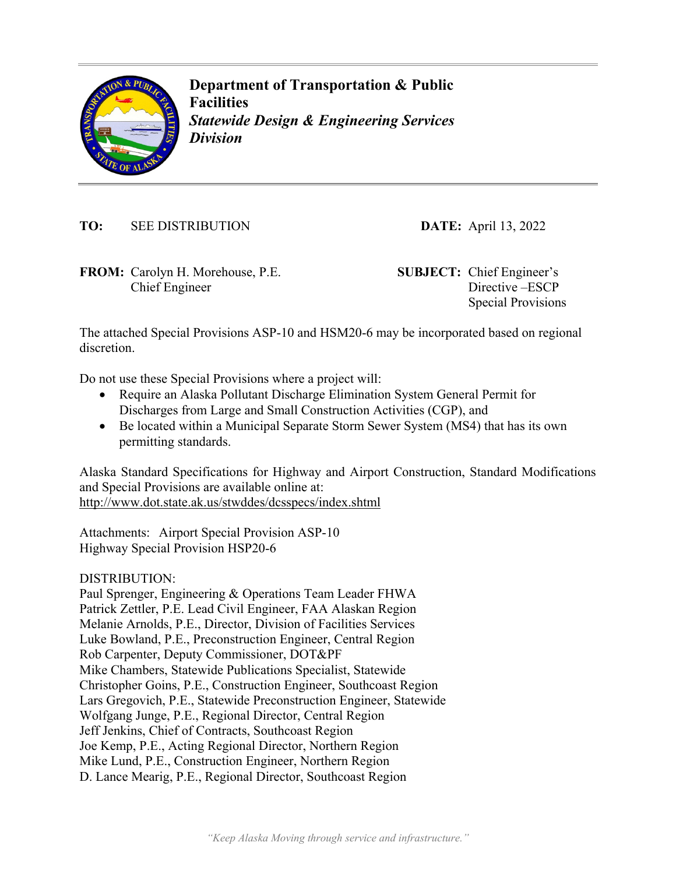

**Department of Transportation & Public Facilities**  *Statewide Design & Engineering Services Division* 

**TO:** SEE DISTRIBUTION **DATE:** April 13, 2022

**FROM:** Carolyn H. Morehouse, P.E. **SUBJECT:** Chief Engineer's Chief Engineer

Directive –ESCP Special Provisions

The attached Special Provisions ASP-10 and HSM20-6 may be incorporated based on regional discretion.

Do not use these Special Provisions where a project will:

- Require an Alaska Pollutant Discharge Elimination System General Permit for Discharges from Large and Small Construction Activities (CGP), and
- Be located within a Municipal Separate Storm Sewer System (MS4) that has its own permitting standards.

Alaska Standard Specifications for Highway and Airport Construction, Standard Modifications and Special Provisions are available online at: http://www.dot.state.ak.us/stwddes/dcsspecs/index.shtml

Attachments: Airport Special Provision ASP-10 Highway Special Provision HSP20-6

DISTRIBUTION:

Paul Sprenger, Engineering & Operations Team Leader FHWA Patrick Zettler, P.E. Lead Civil Engineer, FAA Alaskan Region Melanie Arnolds, P.E., Director, Division of Facilities Services Luke Bowland, P.E., Preconstruction Engineer, Central Region Rob Carpenter, Deputy Commissioner, DOT&PF Mike Chambers, Statewide Publications Specialist, Statewide Christopher Goins, P.E., Construction Engineer, Southcoast Region Lars Gregovich, P.E., Statewide Preconstruction Engineer, Statewide Wolfgang Junge, P.E., Regional Director, Central Region Jeff Jenkins, Chief of Contracts, Southcoast Region Joe Kemp, P.E., Acting Regional Director, Northern Region Mike Lund, P.E., Construction Engineer, Northern Region D. Lance Mearig, P.E., Regional Director, Southcoast Region